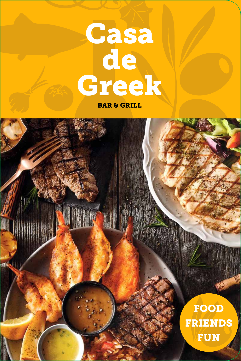# Casa de Greek

BAR & GRILL

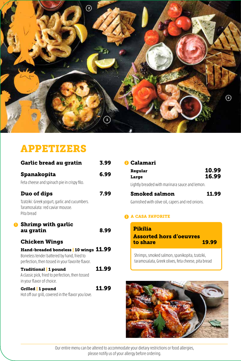

### APPETIZERS

| <b>Garlic bread au gratin</b>                                                                                                                                    | 3.99  |
|------------------------------------------------------------------------------------------------------------------------------------------------------------------|-------|
| <b>Spanakopita</b>                                                                                                                                               | 6.99  |
| Feta cheese and spinach pie in crispy filo.                                                                                                                      |       |
| <b>Duo of dips</b>                                                                                                                                               | 7.99  |
| Tzatziki: Greek yogurt, garlic and cucumbers.<br>Taramosalata: red caviar mousse.<br>Pita bread                                                                  |       |
| <b>Shrimp with garlic</b><br>au gratin                                                                                                                           | 8.99  |
| <b>Chicken Wings</b><br>Hand-breaded boneless   10 wings 11.99<br>Boneless tender battered by hand, fried to<br>perfection, then tossed in your favorite flavor. |       |
| <b>Traditional</b> 1 pound<br>A classic pick, fried to perfection, then tossed<br>in your flavor of choice.                                                      | 11.99 |
| Grilled 1 pound<br>Hot off our grill, covered in the flavor you love.                                                                                            | 11.99 |

| <b>O</b> Calamari                                |                |
|--------------------------------------------------|----------------|
| Regular<br>Large                                 | 10.99<br>16.99 |
| Lightly breaded with marinara sauce and lemon.   |                |
| <b>Smoked salmon</b>                             | <b>11.99</b>   |
| Garnished with olive oil, capers and red onions. |                |

#### **3** A CASA FAVORITE

| <b>Pikilia</b><br><b>Assorted hors d'oeuvres</b><br>to share | 19.99 |
|--------------------------------------------------------------|-------|
| Chrimps smoked salmon spanikopita tzatziki                   |       |

Shrimps, smoked salmon, spanikopita, tzatziki, taramosalata, Greek olives, feta cheese, pita bread

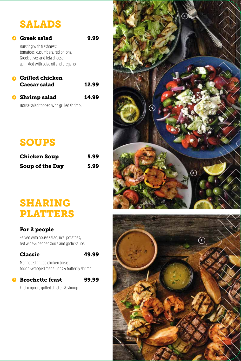## SALADS

### Greek salad 9.99 **4**

Bursting with freshness: tomatoes, cucumbers, red onions, Greek olives and feta cheese, sprinkled with olive oil and oregano

### Grilled chicken **5** Caesar salad 12.99

### Shrimp salad 14.99 **6**

House salad topped with grilled shrimp.

### SOUPS

| <b>Chicken Soup</b> | 5.99 |
|---------------------|------|
| Soup of the Day     | 5.99 |

### SHARING PLATTERS

### For 2 people

Served with house salad, rice, potatoes, red wine & pepper sauce and garlic sauce.

### Classic 49.99



Marinated grilled chicken breast, bacon-wrapped medallions & butterfly shrimp.

#### **7** Brochette feast 59.99



Filet mignon, grilled chicken & shrimp.



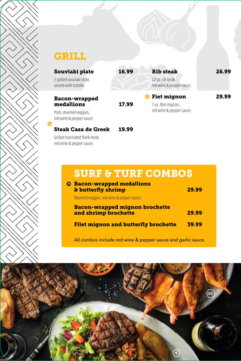### **GRILL**

| Souvlaki plate                                     | 16.99 | <b>Rib steak</b>                               | 26.99 |
|----------------------------------------------------|-------|------------------------------------------------|-------|
| 2 grilled souvlaki sticks<br>served with tzatziki. |       | 12 oz. rib steak,<br>red wine & pepper sauce.  |       |
| <b>Bacon-wrapped</b>                               |       | <b>Fiet mignon</b><br>$\overline{\phantom{a}}$ | 29.99 |
| medallions                                         | 17.99 | 7 oz. filet mignon,                            |       |
| Pork, steamed veggies,                             |       | red wine & pepper sauce.                       |       |

Pork, steamed veggies, red wine & pepper sauce.

**8**

 $\leq$ 

#### Steak Casa de Greek 19.99

Grilled marinated flank steak, red wine & pepper sauce.

### SURF & TURF COMBOS

| <b><i>C</i></b> Bacon-wrapped medallions<br><b>&amp; butterfly shrimp</b> | 29.99 |
|---------------------------------------------------------------------------|-------|
| Steamed veggies, red wine & pepper sauce.                                 |       |
| <b>Bacon-wrapped mignon brochette</b><br>and shrimp brochette             | 29.99 |
| <b>Filet mignon and butterfly brochette</b>                               | 39.99 |
|                                                                           |       |

All combos include red wine & pepper sauce and garlic sauce

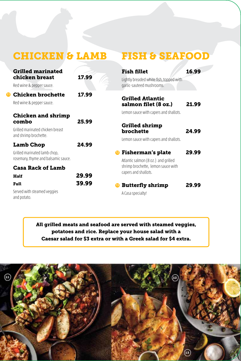|          | <b>CHICKEN &amp; LAMB</b>                                                                       |                | <b>FISH &amp; SEAFOOD</b>                                                                                                     |       |
|----------|-------------------------------------------------------------------------------------------------|----------------|-------------------------------------------------------------------------------------------------------------------------------|-------|
|          | <b>Grilled marinated</b><br>chicken breast<br>Red wine & pepper sauce.                          | 17.99          | <b>Fish fillet</b><br>Lightly breaded white fish, topped with<br>garlic-sauteed mushrooms.                                    | 16.99 |
| $\bf{p}$ | <b>Chicken brochette</b><br>Red wine & pepper sauce.                                            | 17.99          | <b>Grilled Atlantic</b><br>salmon filet (8 oz.)                                                                               | 21.99 |
|          | <b>Chicken and shrimp</b><br>combo<br>Grilled marinated chicken breast<br>and shrimp brochette. | 25.99          | Lemon sauce with capers and shallots.<br><b>Grilled shrimp</b><br><b>brochette</b>                                            | 24.99 |
|          | <b>Lamb Chop</b>                                                                                | 24.99          | Lemon sauce with capers and shallots.                                                                                         |       |
|          | Grilled marinated lamb chop,<br>rosemary, thyme and balsamic sauce.<br><b>Casa Rack of Lamb</b> |                | <b>Fisherman's plate</b><br>Atlantic salmon (8 oz.) and grilled<br>shrimp brochette, lemon sauce with<br>capers and shallots. | 29.99 |
|          | Half<br>Full                                                                                    | 29.99<br>39.99 | <b>Butterfly shrimp</b>                                                                                                       | 29.99 |
|          | Served with steamed veggies<br>and potato.                                                      |                | A Casa specialty!                                                                                                             |       |

All grilled meats and seafood are served with steamed veggies, potatoes and rice. Replace your house salad with a Caesar salad for \$3 extra or with a Greek salad for \$4 extra.

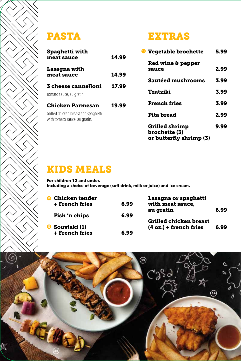$\leq$ 

| <b>Spaghetti with</b><br>meat sauce                                                       | 14.99 |
|-------------------------------------------------------------------------------------------|-------|
| Lasagna with<br>meat sauce                                                                | 14.99 |
| 3 cheese cannelloni<br>Tomato sauce, au gratin.                                           | 17.99 |
| Chicken Parmesan<br>Grilled chicken breast and spaghetti<br>with tomato sauce, au gratin. | 19.99 |

### PASTA EXTRAS

| <sup>6</sup> Vegetable brochette                                  | 5.99 |
|-------------------------------------------------------------------|------|
| <b>Red wine &amp; pepper</b><br>sauce                             | 2.99 |
| <b>Sautéed mushrooms</b>                                          | 3.99 |
| Tzatziki                                                          | 3.99 |
| <b>French fries</b>                                               | 3.99 |
| <b>Pita bread</b>                                                 | 2.99 |
| <b>Grilled shrimp</b><br>brochette (3)<br>or butterfly shrimp (3) | 9.99 |

### KIDS MEALS

**For children 12 and under. Including a choice of beverage (soft drink, milk or juice) and ice cream.**

| <b>Chicken tender</b><br>$\mathbf{a}$<br><b>+ French fries</b> | 6.99 | Lasagna or spaghetti<br>with meat sauce,                  |      |
|----------------------------------------------------------------|------|-----------------------------------------------------------|------|
| Fish 'n chips                                                  | 6.99 | au gratin                                                 | 6.99 |
| ⊕<br>Souvlaki (1)<br>+ French fries                            | 6.99 | <b>Grilled chicken breast</b><br>$(4 oz.) +$ french fries | 6.99 |

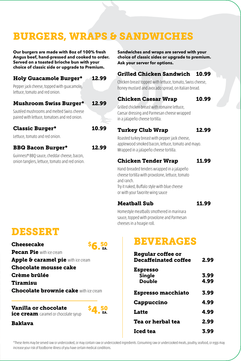### **BURGERS, WRAPS & SANDWICHES**

**Our burgers are made with 8oz of 100% fresh Angus beef, hand-pressed and cooked to order. Served on a toasted brioche bun with your choice of classic side or upgrade to Premium.**

#### Holy Guacamole Burger\* 12.99

Pepper jack cheese, topped with guacamole, lettuce, tomato and red onion.

#### Mushroom Swiss Burger\* 12.99

Sautéed mushrooms and melted Swiss cheese paired with lettuce, tomatoes and red onion.

#### Classic Burger\* 10.99

Lettuce, tomato and red onion.

#### BBQ Bacon Burger\* 12.99

Guinness® BBQ sauce, cheddar cheese, bacon, onion tanglers, lettuce, tomato and red onion.

#### **Sandwiches and wraps are served with your choice of classic sides or upgrade to premium. Ask your server for options.**

### Grilled Chicken Sandwich 10.99

Chicken breast topped with lettuce, tomato, Swiss cheese, honey mustard and avocado spread, on Italian bread.

### Chicken Caesar Wrap 10.99

Grilled chicken breast with romaine lettuce, Caesar dressing and Parmesan cheese wrapped in a jalapeño cheese tortilla.

#### Turkey Club Wrap 12.99

Roasted turkey breast with pepper jack cheese, applewood smoked bacon, lettuce, tomato and mayo. Wrapped in a jalapeño cheese tortilla.

### Chicken Tender Wrap 11.99

Hand-breaded tenders wrapped in a jalapeño cheese tortilla with provolone, lettuce, tomato and ranch.

Try it naked, Buffalo style with blue cheese or with your favorite wing sauce

#### Meatball Sub 11.99

Homestyle meatballs smothered in marinara sauce, topped with provolone and Parmesan cheeses in a hoagie roll.

### DESSERT

**Cheesecake** Pecan Pie with ice cream

Apple & caramel pie with ice cream

Chocolate mousse cake

- Crème brûlée
- Tiramisu
- **Chocolate brownie cake with ice cream**

Vanilla or chocolate ice cream caramel or chocolate syrup



 $$6.50$ 

### Baklava

### BEVERAGES

| <b>Regular coffee or</b><br><b>Decaffeinated coffee</b> | 2.99 |
|---------------------------------------------------------|------|
| <b>Espresso</b>                                         |      |
| <b>Single</b>                                           | 3.99 |
| <b>Double</b>                                           | 4.99 |
| <b>Espresso macchiato</b>                               | 3.99 |
| <b>Cappuccino</b>                                       | 4.99 |
| <b>Latte</b>                                            | 4.99 |
| Tea or herbal tea                                       | 2.99 |
| Iced tea                                                | 3.99 |

\*These items may be served raw or undercooked, or may contain raw or undercooked ingredients. Consuming raw or undercooked meats, poultry, seafood, or eggs may increase your risk of foodborne illness of you have certain medical conditions.